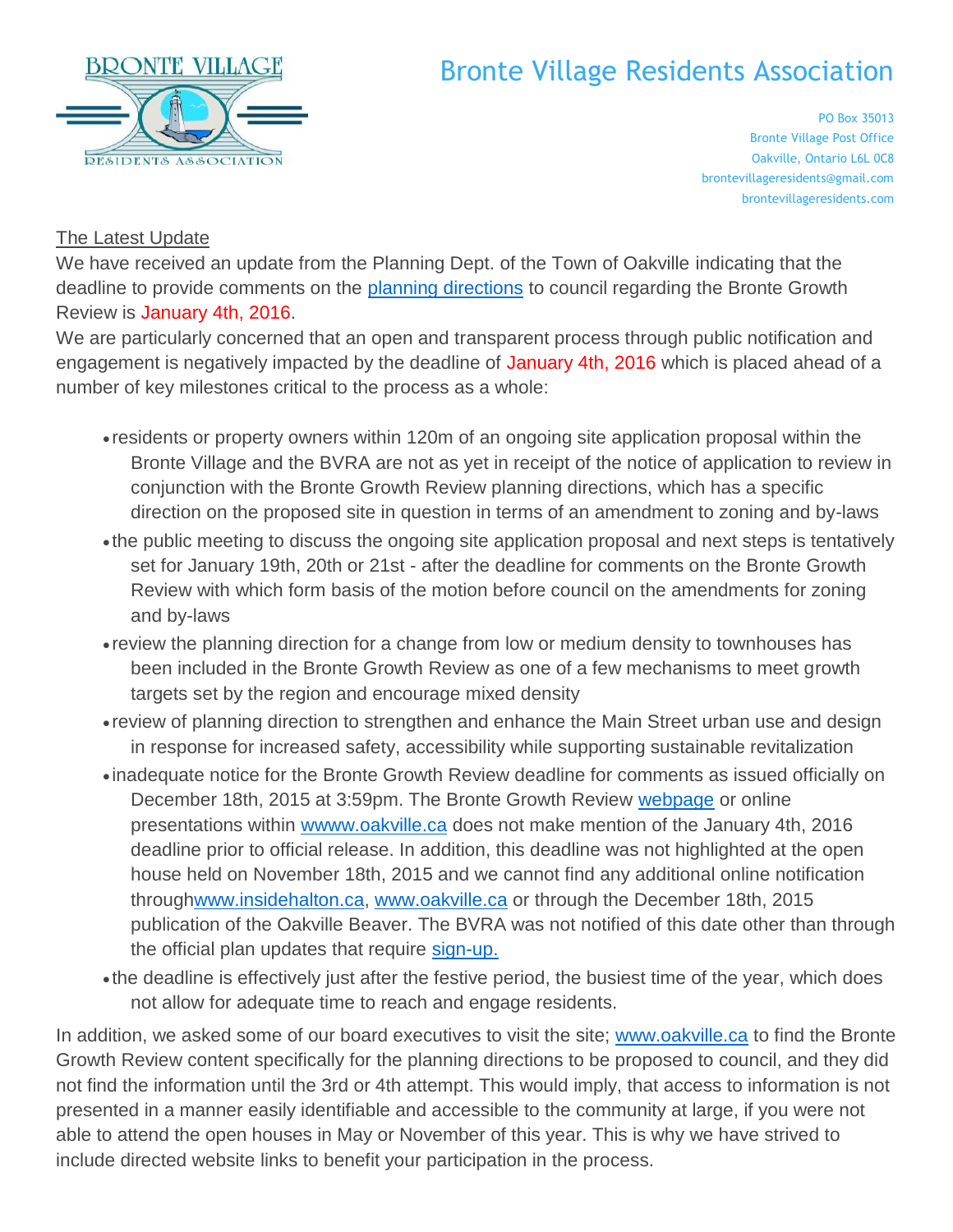

## Bronte Village Residents Association

PO Box 35013 Bronte Village Post Office Oakville, Ontario L6L 0C8 brontevillageresidents@gmail.com brontevillageresidents.com

## **The Latest Update**

We have received an update from the Planning Dept. of the Town of Oakville indicating that the deadline to provide comments on the [planning directions](http://www.oakville.ca/assets/2011%20planning/Display_Panels_and_Draft_Directions_Bronte.pdf) to council regarding the Bronte Growth Review is January 4th, 2016.

We are particularly concerned that an open and transparent process through public notification and engagement is negatively impacted by the deadline of January 4th, 2016 which is placed ahead of a number of key milestones critical to the process as a whole:

- residents or property owners within 120m of an ongoing site application proposal within the Bronte Village and the BVRA are not as yet in receipt of the notice of application to review in conjunction with the Bronte Growth Review planning directions, which has a specific direction on the proposed site in question in terms of an amendment to zoning and by-laws
- the public meeting to discuss the ongoing site application proposal and next steps is tentatively set for January 19th, 20th or 21st - after the deadline for comments on the Bronte Growth Review with which form basis of the motion before council on the amendments for zoning and by-laws
- review the planning direction for a change from low or medium density to townhouses has been included in the Bronte Growth Review as one of a few mechanisms to meet growth targets set by the region and encourage mixed density
- review of planning direction to strengthen and enhance the Main Street urban use and design in response for increased safety, accessibility while supporting sustainable revitalization
- inadequate notice for the Bronte Growth Review deadline for comments as issued officially on December 18th, 2015 at 3:59pm. The Bronte Growth Review [webpage](http://www.oakville.ca/planoakville/bronte-village-growth-area-review.html) or online presentations within [wwww.oakville.ca](http://wwww.oakville.ca/) does not make mention of the January 4th, 2016 deadline prior to official release. In addition, this deadline was not highlighted at the open house held on November 18th, 2015 and we cannot find any additional online notification throug[hwww.insidehalton.ca,](http://www.insidehalton.ca/) [www.oakville.ca](http://www.oakville.ca/) or through the December 18th, 2015 publication of the Oakville Beaver. The BVRA was not notified of this date other than through the official plan updates that require [sign-up.](http://www.oakville.ca/planoakville/official-plan-review.html)
- the deadline is effectively just after the festive period, the busiest time of the year, which does not allow for adequate time to reach and engage residents.

In addition, we asked some of our board executives to visit the site; [www.oakville.ca](http://www.oakville.ca/) to find the Bronte Growth Review content specifically for the planning directions to be proposed to council, and they did not find the information until the 3rd or 4th attempt. This would imply, that access to information is not presented in a manner easily identifiable and accessible to the community at large, if you were not able to attend the open houses in May or November of this year. This is why we have strived to include directed website links to benefit your participation in the process.